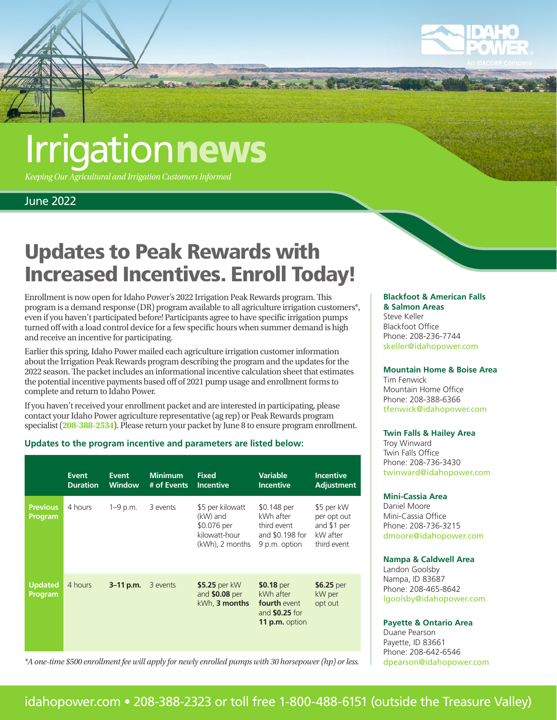

## **Irrigationnews**

*Keeping Our Agricultural and Irrigation Customers Informed*

## June 2022

## Updates to Peak Rewards with Increased Incentives. Enroll Today!

Enrollment is now open for Idaho Power's 2022 Irrigation Peak Rewards program. This program is a demand response (DR) program available to all agriculture irrigation customers\*, even if you haven't participated before! Participants agree to have specific irrigation pumps turned off with a load control device for a few specific hours when summer demand is high and receive an incentive for participating.

Earlier this spring, Idaho Power mailed each agriculture irrigation customer information about the Irrigation Peak Rewards program describing the program and the updates for the 2022 season. The packet includes an informational incentive calculation sheet that estimates the potential incentive payments based off of 2021 pump usage and enrollment forms to complete and return to Idaho Power.

If you haven't received your enrollment packet and are interested in participating, please contact your Idaho Power agriculture representative (ag rep) or Peak Rewards program specialist (**208-388-2534**). Please return your packet by June 8 to ensure program enrollment.

### **Updates to the program incentive and parameters are listed below:**

|                                   | <b>Event</b><br><b>Duration</b> | <b>Event</b><br><b>Window</b> | <b>Minimum</b><br># of Events | <b>Fixed</b><br><b>Incentive</b>                                                | <b>Variable</b><br><b>Incentive</b>                                                       | <b>Incentive</b><br><b>Adjustment</b>                               |
|-----------------------------------|---------------------------------|-------------------------------|-------------------------------|---------------------------------------------------------------------------------|-------------------------------------------------------------------------------------------|---------------------------------------------------------------------|
| <b>Previous</b><br><b>Program</b> | 4 hours                         | $1 - 9$ p.m.                  | 3 events                      | \$5 per kilowatt<br>(kW) and<br>\$0.076 per<br>kilowatt-hour<br>(kWh), 2 months | \$0.148 per<br>kWh after<br>third event<br>and \$0.198 for<br>9 p.m. option               | \$5 per kW<br>per opt out<br>and \$1 per<br>kW after<br>third event |
| <b>Updated</b><br>Program         | 4 hours                         | $3 - 11$ p.m.                 | 3 events                      | \$5.25 per kW<br>and $$0.08$ per<br>kWh, 3 months                               | \$0.18 per<br>kWh after<br><b>fourth</b> event<br>and <b>\$0.25</b> for<br>11 p.m. option | \$6.25 per<br>kW per<br>opt out                                     |

*\*A one-time \$500 enrollment fee will apply for newly enrolled pumps with 30 horsepower (hp) or less.*

#### **Blackfoot & American Falls & Salmon Areas**

Steve Keller Blackfoot Office Phone: 208-236-7744 [skeller@idahopower.com](mailto:skeller%40idahopower.com?subject=)

## **Mountain Home & Boise Area**

Tim Fenwick Mountain Home Office Phone: 208-388-6366 [tfenwick@idahopower.com](mailto:tfenwick%40idahopower.com?subject=)

#### **Twin Falls & Hailey Area**

Troy Winward Twin Falls Office Phone: 208-736-3430 [twinward@idahopower.com](mailto:twinward%40idahopower.com?subject=)

#### **Mini-Cassia Area**

Daniel Moore Mini-Cassia Office Phone: 208-736-3215 [dmoore@idahopower.com](mailto:dmoore%40idahopower.com?subject=)

#### **Nampa & Caldwell Area**

Landon Goolsby Nampa, ID 83687 Phone: 208-465-8642 [lgoolsby@idahopower.com](mailto:lgoolsby%40idahopower.com?subject=)

#### **Payette & Ontario Area**

Duane Pearson Payette, ID 83661 Phone: 208-642-6546 [dpearson@idahopower.com](mailto:dpearson%40idahopower.com?subject=)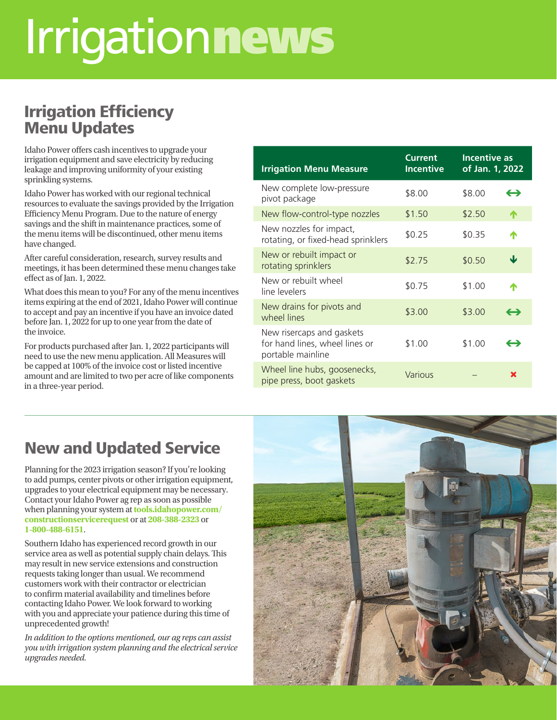## Irrigationnews

## Irrigation Efficiency Menu Updates

Idaho Power offers cash incentives to upgrade your irrigation equipment and save electricity by reducing leakage and improving uniformity of your existing sprinkling systems.

Idaho Power has worked with our regional technical resources to evaluate the savings provided by the Irrigation Efficiency Menu Program. Due to the nature of energy savings and the shift in maintenance practices, some of the menu items will be discontinued, other menu items have changed.

After careful consideration, research, survey results and meetings, it has been determined these menu changes take effect as of Jan. 1, 2022.

What does this mean to you? For any of the menu incentives items expiring at the end of 2021, Idaho Power will continue to accept and pay an incentive if you have an invoice dated before Jan. 1, 2022 for up to one year from the date of the invoice.

For products purchased after Jan. 1, 2022 participants will need to use the new menu application. All Measures will be capped at 100% of the invoice cost or listed incentive amount and are limited to two per acre of like components in a three-year period.

| <b>Irrigation Menu Measure</b>                                                   | <b>Current</b><br><b>Incentive</b> | <b>Incentive as</b><br>of Jan. 1, 2022 |                   |
|----------------------------------------------------------------------------------|------------------------------------|----------------------------------------|-------------------|
| New complete low-pressure<br>pivot package                                       | \$8.00                             | \$8.00                                 | $\leftrightarrow$ |
| New flow-control-type nozzles                                                    | \$1.50                             | \$2.50                                 | ́↑                |
| New nozzles for impact,<br>rotating, or fixed-head sprinklers                    | \$0.25                             | \$0.35                                 | Λ                 |
| New or rebuilt impact or<br>rotating sprinklers                                  | \$2.75                             | \$0.50                                 | Ψ                 |
| New or rebuilt wheel<br>line levelers                                            | \$0.75                             | \$1.00                                 |                   |
| New drains for pivots and<br>wheel lines                                         | \$3.00                             | \$3.00                                 | $\leftrightarrow$ |
| New risercaps and gaskets<br>for hand lines, wheel lines or<br>portable mainline | \$1.00                             | \$1.00                                 | ⇔                 |
| Wheel line hubs, goosenecks,<br>pipe press, boot gaskets                         | Various                            |                                        | x                 |

## New and Updated Service

Planning for the 2023 irrigation season? If you're looking to add pumps, center pivots or other irrigation equipment, upgrades to your electrical equipment may be necessary. Contact your Idaho Power ag rep as soon as possible when planning your system at **[tools.idahopower.com/](https://tools.idahopower.com/constructionservicerequest) [constructionservicerequest](https://tools.idahopower.com/constructionservicerequest)** or at **208-388-2323** or **1-800-488-6151**.

Southern Idaho has experienced record growth in our service area as well as potential supply chain delays. This may result in new service extensions and construction requests taking longer than usual. We recommend customers work with their contractor or electrician to confirm material availability and timelines before contacting Idaho Power. We look forward to working with you and appreciate your patience during this time of unprecedented growth!

*In addition to the options mentioned, our ag reps can assist you with irrigation system planning and the electrical service upgrades needed.*

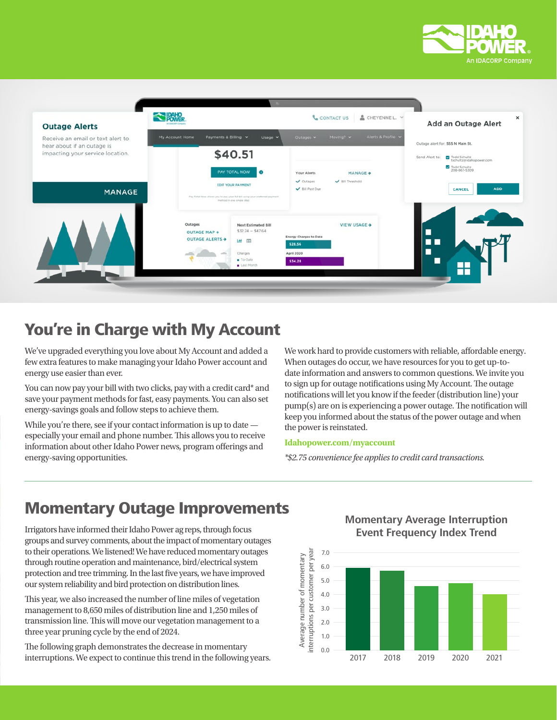



## You're in Charge with My Account

We've upgraded everything you love about My Account and added a few extra features to make managing your Idaho Power account and energy use easier than ever.

You can now pay your bill with two clicks, pay with a credit card\* and save your payment methods for fast, easy payments. You can also set energy-savings goals and follow steps to achieve them.

While you're there, see if your contact information is up to date especially your email and phone number. This allows you to receive information about other Idaho Power news, program offerings and energy-saving opportunities.

We work hard to provide customers with reliable, affordable energy. When outages do occur, we have resources for you to get up-todate information and answers to common questions. We invite you to sign up for outage notifications using My Account. The outage notifications will let you know if the feeder (distribution line) your pump(s) are on is experiencing a power outage. The notification will keep you informed about the status of the power outage and when the power is reinstated.

#### **[Idahopower.com/myaccount](http://Idahopower.com/myaccount)**

*\*\$2.75 convenience fee applies to credit card transactions.*

## **Momentary Outage Improvements**<br>Momentary Average Interruption

Irrigators have informed their Idaho Power ag reps, through focus groups and survey comments, about the impact of momentary outages to their operations. We listened! We have reduced momentary outages through routine operation and maintenance, bird/electrical system protection and tree trimming. In the last five years, we have improved our system reliability and bird protection on distribution lines.

This year, we also increased the number of line miles of vegetation management to 8,650 miles of distribution line and 1,250 miles of transmission line. This will move our vegetation management to a three year pruning cycle by the end of 2024.

The following graph demonstrates the decrease in momentary interruptions. We expect to continue this trend in the following years.

**Event Frequency Index Trend**